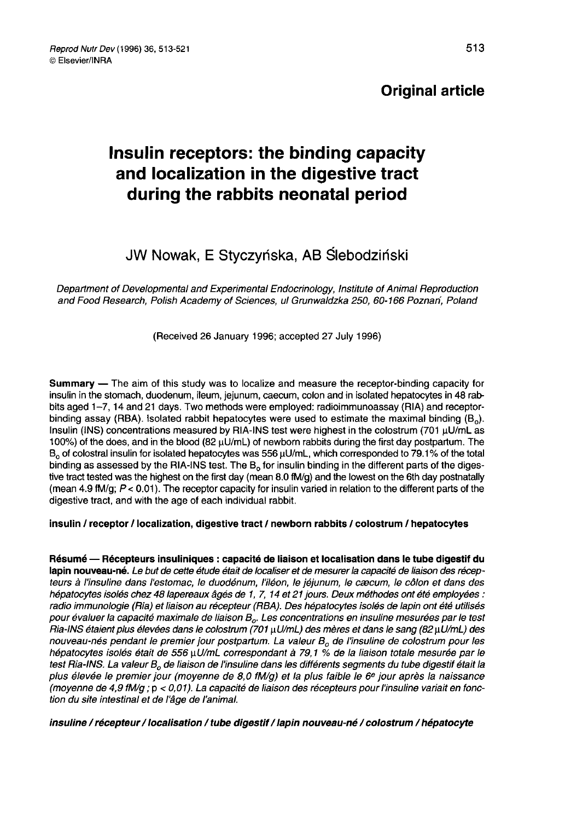## Original article

# Insulin receptors: the binding capacity and localization in the digestive tract during the rabbits neonatal period

# JW Nowak, E Styczyńska, AB Ślebodziński

Department of Developmental and Experimental Endocrinology, Institute of Animal Reproduction and Food Research, Polish Academy of Sciences, ul Grunwaldzka 250, 60-166 Poznari, Poland

#### (Received 26 January 1996; accepted 27 July 1996)

Summary ― The aim of this study was to localize and measure the receptor-binding capacity for insulin in the stomach, duodenum, ileum, jejunum, caecum, colon and in isolated hepatocytes in 48 rabbits aged 1–7, 14 and 21 days. Two methods were employed: radioimmunoassay (RIA) and receptor-<br>binding assay (RBA). Isolated rabbit hepatocytes were used to estimate the maximal binding (B<sub>o</sub>).<br>Insulin (INS) concentrations binding assay (RBA). Isolated rabbit hepatocytes were used to estimate the maximal binding ( $B_0$ ).<br>Insulin (INS) concentrations measured by RIA-INS test were highest in the colostrum (701  $\mu$ U/mL as 100%) of the does, and in the blood (82 µU/mL) of newborn rabbits during the first day postpartum. The  $B_0$  of colostral insulin for isolated hepatocytes was 556  $\mu$ U/mL, which corresponded to 79.1% of the total binding as assessed by the RIA-INS test. The  $B_0$  for insulin binding in the different parts of the digestive tract tested was the highest on the first day (mean 8.0 fM/g) and the lowest on the 6th day postnatally (mean 4.9 fM/g;  $P < 0.01$ ). The receptor capacity for insulin varied in relation to the different parts of the digestive tract, and with the age of each individual rabbit.

#### insulin / receptor / localization, digestive tract / newborn rabbits / colostrum / hepatocytes

Résumé ― Récepteurs insuliniques : capacité de liaison et localisation dans le tube digestif du lapin nouveau-né. Le but de cette étude était de localiser et de mesurer la capacité de liaison des récepteurs à l'insuline dans l'estomac, le duodénum, l'iléon, le jéjunum, le cæcum, le côlon et dans des hépatocytes isolés chez 48 lapereaux âgés de 1, 7, 14 et 21 jours. Deux méthodes ont été employées : nepatocytes isoles chez 48 lapereaux ages de 1, 7, 14 et 21 jours. Deux methodes ont ete employees :<br>radio immunologie (Ria) et liaison au récepteur (RBA). Des hépatocytes isolés de lapin ont été utilisés<br>pour évaluer la c pour évaluer la capacité maximale de liaison B<sub>o</sub>. Les concentrations en insuline mesurées par le test<br>Ria-INS étaient plus élevées dans le colostrum (701 µU/mL) des mères et dans le sang (82 µU/mL) des nouveau-nés pendant le premier jour postpartum. La valeur B<sub>o</sub> de l'insuline de colostrum pour les<br>. hépatocytes isolés était de 556 µU/mL correspondant à 79,1 % de la liaison totale mesurée par le<br>test Ria-INS. La valeur B<sub>o</sub> de liaison de l'insuline dans les différents segments du tube digestif était la pour evaluer la capache maximale de liaison  $B_o$ . Les concentrations en insuline mésurees par le test<br>Ria-INS étaient plus élevées dans le colostrum (701 µU/mL) des mères et dans le sang (82 µU/mL) des<br>nouveau-nés pendant plus élevée le premier jour (moyenne de 8,0 fM/g) et la plus faible le 6<sup>e</sup> jour après la naissance (moyenne de 4,9 fMlg ; p < 0,01). La capacité de liaison des récepteurs pour l'insuline variait en fonction du site intestinal et de l'âge de l'animal.

insuline / récepteur / localisation / tube digestif / lapin nouveau-né / colostrum / hépatocyte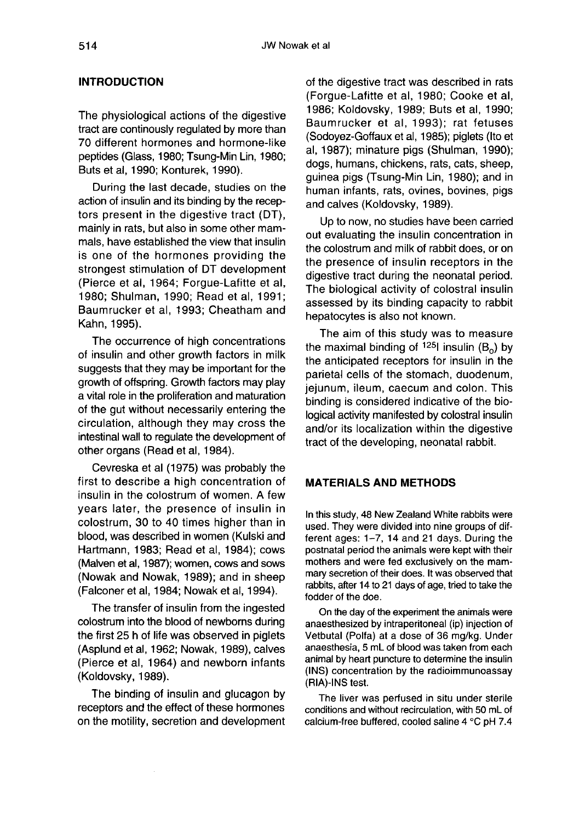#### INTRODUCTION

The physiological actions of the digestive tract are continously regulated by more than 70 different hormones and hormone-like peptides (Glass, 1980; Tsung-Min Lin, 1980; Buts et al, 1990; Konturek, 1990).

During the last decade, studies on the action of insulin and its binding by the receptors present in the digestive tract (DT), mainly in rats, but also in some other mammals, have established the view that insulin is one of the hormones providing the strongest stimulation of DT development (Pierce et al, 1964; Forgue-Lafitte et al, 1980; Shulman, 1990; Read et al, 1991; Baumrucker et al, 1993; Cheatham and Kahn, 1995).

The occurrence of high concentrations of insulin and other growth factors in milk suggests that they may be important for the growth of offspring. Growth factors may play a vital role in the proliferation and maturation of the gut without necessarily entering the circulation, although they may cross the intestinal wall to regulate the development of other organs (Read et al, 1984).

Cevreska et al (1975) was probably the first to describe a high concentration of insulin in the colostrum of women. A few years later, the presence of insulin in colostrum, 30 to 40 times higher than in blood, was described in women (Kulski and Hartmann, 1983; Read et al, 1984); cows (Malven et al, 1987); women, cows and sows (Nowak and Nowak, 1989); and in sheep (Falconer et al, 1984; Nowak et al, 1994).

The transfer of insulin from the ingested colostrum into the blood of newborns during the first 25 h of life was observed in piglets (Asplund et al, 1962; Nowak, 1989), calves (Pierce et al, 1964) and newborn infants (Koldovsky, 1989).

The binding of insulin and glucagon by receptors and the effect of these hormones on the motility, secretion and development

of the digestive tract was described in rats (Forgue-Lafitte et al, 1980; Cooke et al, 1986; Koldovsky, 1989; Buts et al, 1990; Baumrucker et al, 1993); rat fetuses (Sodoyez-Goffaux et al, 1985); piglets (Ito et al, 1987); minature pigs (Shulman, 1990); dogs, humans, chickens, rats, cats, sheep, guinea pigs (Tsung-Min Lin, 1980); and in human infants, rats, ovines, bovines, pigs and calves (Koldovsky, 1989).

Up to now, no studies have been carried out evaluating the insulin concentration in the colostrum and milk of rabbit does, or on the presence of insulin receptors in the digestive tract during the neonatal period. The biological activity of colostral insulin assessed by its binding capacity to rabbit hepatocytes is also not known.

The aim of this study was to measure the maximal binding of  $125$  insulin (B<sub>o</sub>) by the anticipated receptors for insulin in the parietal cells of the stomach, duodenum, jejunum, ileum, caecum and colon. This binding is considered indicative of the biological activity manifested by colostral insulin and/or its localization within the digestive tract of the developing, neonatal rabbit.

#### MATERIALS AND METHODS

In this study, 48 New Zealand White rabbits were used. They were divided into nine groups of different ages: 1-7, 14 and 21 days. During the postnatal period the animals were kept with their mothers and were fed exclusively on the mammary secretion of their does. It was observed that rabbits, after 14 to 21 days of age, tried to take the fodder of the doe.

On the day of the experiment the animals were anaesthesized by intraperitoneal (ip) injection of Vetbutal (Polfa) at a dose of 36 mg/kg. Under anaesthesia, 5 mL of blood was taken from each animal by heart puncture to determine the insulin (INS) concentration by the radioimmunoassay (RIA)-INS test.

The liver was perfused in situ under sterile conditions and without recirculation, with 50 mL of calcium-free buffered, cooled saline 4 °C pH 7.4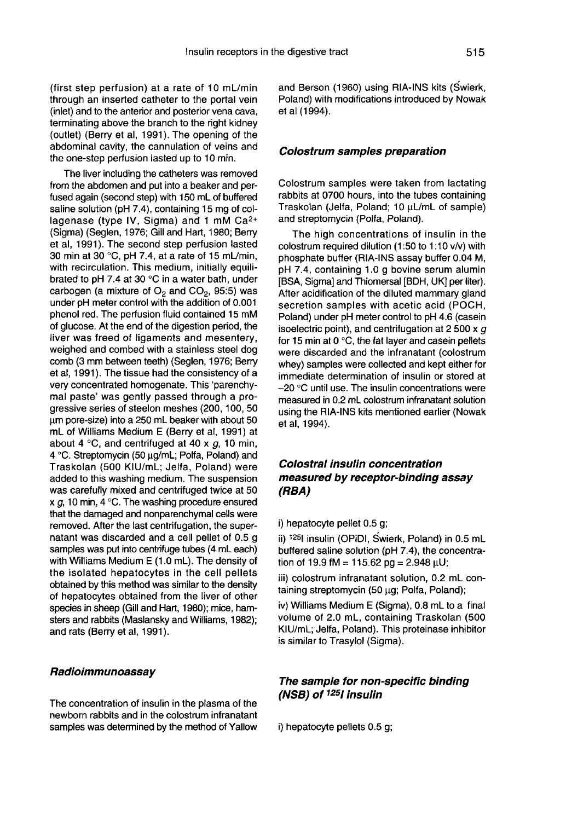(first step perfusion) at a rate of 10 mL/min through an inserted catheter to the portal vein (inlet) and to the anterior and posterior vena cava, terminating above the branch to the right kidney (outlet) (Berry et al, 1991). The opening of the abdominal cavity, the cannulation of veins and the one-step perfusion lasted up to 10 min.

The liver including the catheters was removed from the abdomen and put into a beaker and perfused again (second step) with 150 mL of buffered saline solution (pH 7.4), containing 15 mg of coltused again (second step) with 150 mL of buffered<br>saline solution (pH 7.4), containing 15 mg of col-<br>lagenase (type IV, Sigma) and 1 mM Ca<sup>2+</sup> (Sigma) (Seglen, 1976; Gill and Hart, 1980; Berry et al, 1991). The second step perfusion lasted 30 min at 30 °C, pH 7.4, at a rate of 15 mUmin, with recirculation. This medium, initially equilibrated to pH 7.4 at 30 °C in a water bath, under carbogen (a mixture of  $O_2$  and  $CO_2$ , 95:5) was under pH meter control with the addition of 0.001 phenol red. The perfusion fluid contained 15 mM of glucose. At the end of the digestion period, the liver was freed of ligaments and mesentery, weighed and combed with a stainless steel dog comb (3 mm between teeth) (Seglen, 1976; Berry et al, 1991). The tissue had the consistency of a very concentrated homogenate. This 'parenchymal paste' was gently passed through a progressive series of steelon meshes (200, 100, 50 um pore-size) into a 250 mL beaker with about 50 mL of Williams Medium E (Berry et al, 1991) at about 4 °C, and centrifuged at 40 x  $a$ , 10 min, 4 °C. Streptomycin (50 ug/mL; Polfa, Poland) and Traskolan (500 KIU/mL; Jelfa, Poland) were added to this washing medium. The suspension was carefully mixed and centrifuged twice at 50 x  $q$ , 10 min, 4 °C. The washing procedure ensured that the damaged and nonparenchymal cells were removed. After the last centrifugation, the supernatant was discarded and a cell pellet of 0.5 g samples was put into centrifuge tubes (4 mL each) with Williams Medium E (1.0 mL). The density of the isolated hepatocytes in the cell pellets obtained by this method was similar to the density of hepatocytes obtained from the liver of other species in sheep (Gill and Hart, 1980); mice, hamsters and rabbits (Maslansky and Williams, 1982); and rats (Berry et al, 1991).

#### Radioimmunoassay

The concentration of insulin in the plasma of the newborn rabbits and in the colostrum infranatant samples was determined by the method of Yallow and Berson (1960) using RIA-INS kits (Swierk, Poland) with modifications introduced by Nowak et al (1994).

#### Colostrum samples preparation

Colostrum samples were taken from lactating rabbits at 0700 hours, into the tubes containing Traskolan (Jelfa, Poland; 10 µL/mL of sample) and streptomycin (Polfa, Poland).

The high concentrations of insulin in the colostrum required dilution (1:50 to 1:10 v/v) with phosphate buffer (RIA-INS assay buffer 0.04 M, pH 7.4, containing 1.0 g bovine serum alumin [BSA, Sigma] and Thiomersal [BDH, UK] per liter). After acidification of the diluted mammary gland secretion samples with acetic acid (POCH, Poland) under pH meter control to pH 4.6 (casein isoelectric point), and centrifugation at 2 500  $\times$   $q$ for 15 min at 0 °C, the fat layer and casein pellets were discarded and the infranatant (colostrum whey) samples were collected and kept either for immediate determination of insulin or stored at - 20 °C until use. The insulin concentrations were measured in 0.2 mL colostrum infranatant solution using the RIA-INS kits mentioned earlier (Nowak et al, 1994).

## Colostral insulin concentration measured by receptor-binding assay (RBA)

i) hepatocyte pellet 0.5 g;

ii) <sup>125</sup>I insulin (OPiDI, Swierk, Poland) in 0.5 mL buffered saline solution (pH 7.4), the concentration of 19.9 fM = 115.62 pg =  $2.948 \mu U$ ;

iii) colostrum infranatant solution, 0.2 mL containing streptomycin (50 µg; Polfa, Poland);

iv) Williams Medium E (Sigma), 0.8 mL to a final volume of 2.0 mL, containing Traskolan (500 KIU/mL; Jelfa, Poland). This proteinase inhibitor is similar to Trasylol (Sigma).

#### The sample for non-specific binding (NSB) of  $1251$  insulin

i) hepatocyte pellets 0.5 g;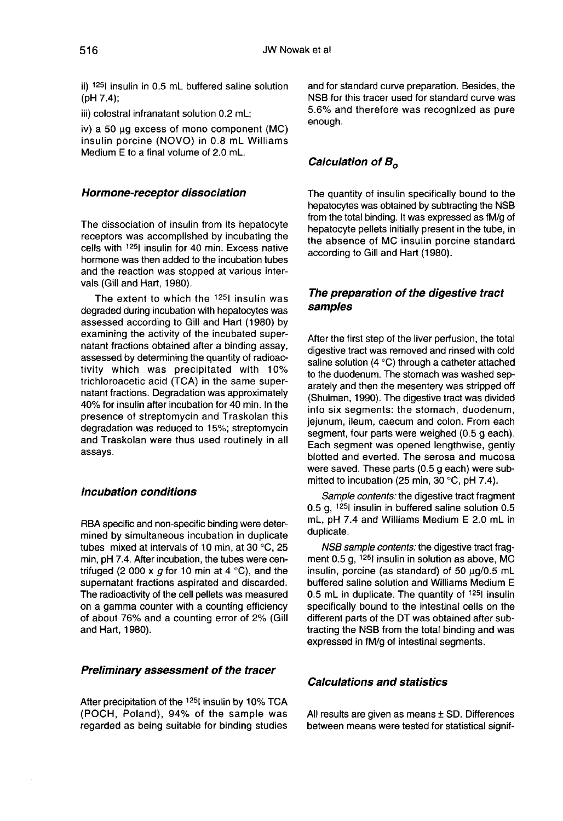ii) <sup>125</sup>l insulin in 0.5 mL buffered saline solution |<br>|i|) <sup>125</sup>| in<br>(pH 7.4);<br><sup>|ii)</sup> colost

iii) colostral infranatant solution 0.2 mL;

iv) a 50 ug excess of mono component (MC) insulin porcine (NOVO) in 0.8 mL Williams Medium E to a final volume of 2.0 mL.

#### Hormone-receptor dissociation

The dissociation of insulin from its hepatocyte receptors was accomplished by incubating the cells with <sup>125</sup>l insulin for 40 min. Excess native hormone was then added to the incubation tubes and the reaction was stopped at various intervals (Gill and Hart, 1980).

The extent to which the  $1251$  insulin was degraded during incubation with hepatocytes was assessed according to Gill and Hart (1980) by examining the activity of the incubated supernatant fractions obtained after a binding assay, assessed by determining the quantity of radioactivity which was precipitated with 10% trichloroacetic acid (TCA) in the same supernatant fractions. Degradation was approximately 40% for insulin after incubation for 40 min. In the presence of streptomycin and Traskolan this degradation was reduced to 15%; streptomycin and Traskolan were thus used routinely in all assays.

#### Incubation conditions

RBA specific and non-specific binding were determined by simultaneous incubation in duplicate tubes mixed at intervals of 10 min, at 30 °C, 25 min, pH 7.4. After incubation, the tubes were centrifuged (2 000 x  $q$  for 10 min at 4 °C), and the supernatant fractions aspirated and discarded. The radioactivity of the cell pellets was measured on a gamma counter with a counting efficiency of about 76% and a counting error of 2% (Gill and Hart, 1980).

#### Preliminary assessment of the tracer

After precipitation of the <sup>125</sup>l insulin by 10% TCA (POCH, Poland), 94% of the sample was regarded as being suitable for binding studies and for standard curve preparation. Besides, the NSB for this tracer used for standard curve was 5.6% and therefore was recognized as pure enough.

#### Calculation of  $B_0$

The quantity of insulin specifically bound to the hepatocytes was obtained by subtracting the NSB from the total binding. It was expressed as fM/g of hepatocyte pellets initially present in the tube, in the absence of MC insulin porcine standard according to Gill and Hart (1980).

### The preparation of the digestive tract samples

After the first step of the liver perfusion, the total digestive tract was removed and rinsed with cold saline solution (4 °C) through a catheter attached to the duodenum. The stomach was washed separately and then the mesentery was stripped off (Shulman, 1990). The digestive tract was divided into six segments: the stomach, duodenum, jejunum, ileum, caecum and colon. From each segment, four parts were weighed (0.5 g each). Each segment was opened lengthwise, gently blotted and everted. The serosa and mucosa were saved. These parts (0.5 g each) were submitted to incubation (25 min, 30 °C, pH 7.4).

Sample contents: the digestive tract fragment 0.5 g, !251 insulin in buffered saline solution 0.5 mL, pH 7.4 and Williams Medium E 2.0 mL in duplicate.

NSB sample contents: the digestive tract frag-<br>ment 0.5 g, <sup>125</sup>l insulin in solution as above, MC insulin, porcine (as standard) of 50  $\mu$ g/0.5 mL buffered saline solution and Williams Medium E 0.5 mL in duplicate. The quantity of  $125$  insulin specifically bound to the intestinal cells on the different parts of the DT was obtained after subtracting the NSB from the total binding and was expressed in fM/g of intestinal segments.

#### Calculations and statistics

All results are given as means  $\pm$  SD. Differences between means were tested for statistical signif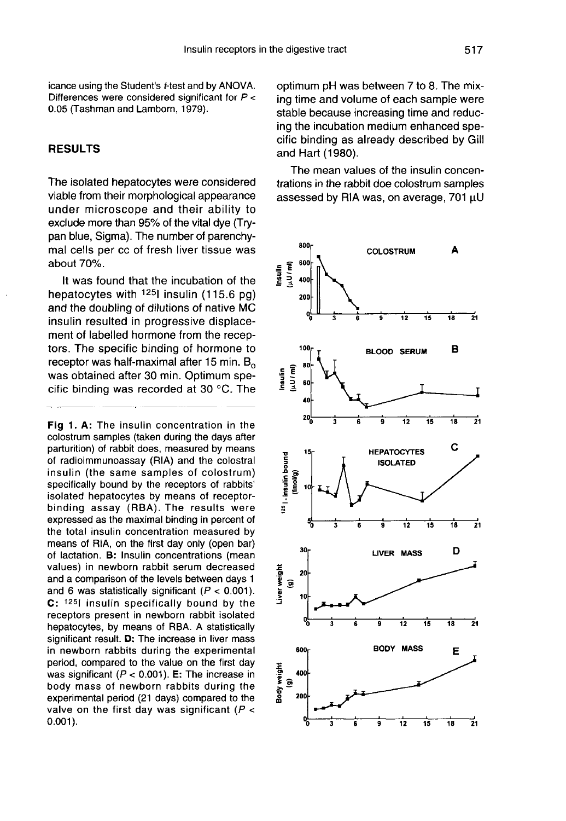icance using the Student's t-test and by ANOVA. Differences were considered significant for  $P <$ 0.05 (Tashman and Lamborn, 1979).

#### RESULTS

The isolated hepatocytes were considered viable from their morphological appearance under microscope and their ability to exclude more than 95% of the vital dye (Trypan blue, Sigma). The number of parenchymal cells per cc of fresh liver tissue was about 70%.

It was found that the incubation of the hepatocytes with  $125$ I insulin (115.6 pg) and the doubling of dilutions of native MC insulin resulted in progressive displacement of labelled hormone from the receptors. The specific binding of hormone to receptor was half-maximal after 15 min.  $B_0$  was obtained after 30 min. Optimum specific binding was recorded at 30 °C. The

Fig 1. A: The insulin concentration in the colostrum samples (taken during the days after parturition) of rabbit does, measured by means of radioimmunoassay (RIA) and the colostral insulin (the same samples of colostrum) specifically bound by the receptors of rabbits' isolated hepatocytes by means of receptorbinding assay (RBA). The results were expressed as the maximal binding in percent of the total insulin concentration measured by means of RIA, on the first day only (open bar) of lactation. B: Insulin concentrations (mean values) in newborn rabbit serum decreased and a comparison of the levels between days 1 and 6 was statistically significant ( $P < 0.001$ ). C: 1251 insulin specifically bound by the receptors present in newborn rabbit isolated hepatocytes, by means of RBA. A statistically significant result. D: The increase in liver mass in newborn rabbits during the experimental period, compared to the value on the first day was significant ( $P < 0.001$ ). E: The increase in body mass of newborn rabbits during the experimental period (21 days) compared to the valve on the first day was significant ( $P <$  $0.001$ ).

optimum pH was between 7 to 8. The mixing time and volume of each sample were stable because increasing time and reducing the incubation medium enhanced specific binding as already described by Gill and Hart (1980).

The mean values of the insulin concentrations in the rabbit doe colostrum samples assessed by RIA was, on average, 701 µU

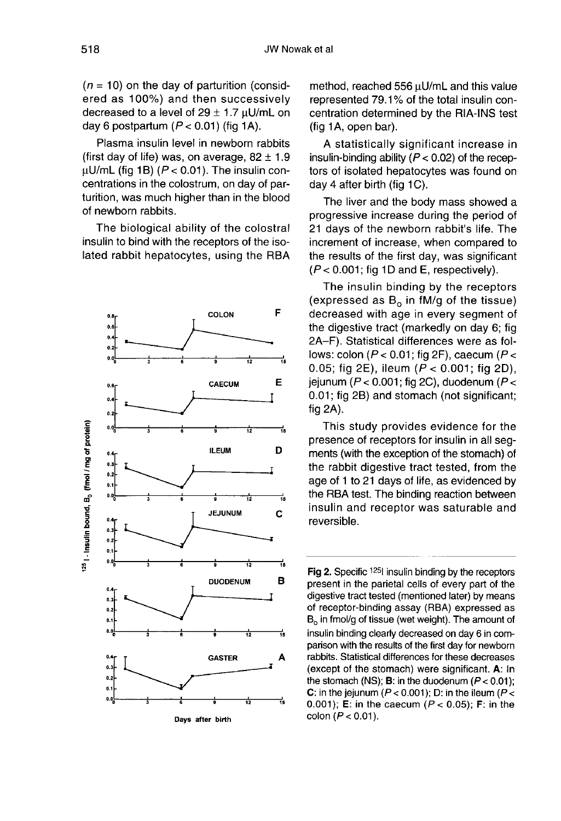$(n = 10)$  on the day of parturition (considered as 100%) and then successively decreased to a level of  $29 \pm 1.7$   $\mu$ U/mL on day 6 postpartum  $(P < 0.01)$  (fig 1A).

Plasma insulin level in newborn rabbits (first day of life) was, on average,  $82 \pm 1.9$  $\mu$ U/mL (fig 1B) ( $P < 0.01$ ). The insulin concentrations in the colostrum, on day of parturition, was much higher than in the blood of newborn rabbits.

The biological ability of the colostral insulin to bind with the receptors of the isolated rabbit hepatocytes, using the RBA



method, reached 556  $\mu$ U/mL and this value represented 79.1 % of the total insulin concentration determined by the RIA-INS test (fig 1A, open bar).

A statistically significant increase in insulin-binding ability ( $P < 0.02$ ) of the receptors of isolated hepatocytes was found on day 4 after birth (fig 1C).

The liver and the body mass showed a progressive increase during the period of 21 days of the newborn rabbit's life. The increment of increase, when compared to the results of the first day, was significant  $(P < 0.001$ ; fig 1D and E, respectively).

The insulin binding by the receptors (expressed as  $B_0$  in fM/g of the tissue) decreased with age in every segment of the digestive tract (markedly on day 6; fig 2A-F). Statistical differences were as follows: colon ( $P < 0.01$ ; fig 2F), caecum ( $P <$ 0.05; fig 2E), ileum ( $P < 0.001$ ; fig 2D), jejunum ( $P < 0.001$ ; fig 2C), duodenum ( $P <$ 0.01; fig 2B) and stomach (not significant; fig 2A).

This study provides evidence for the presence of receptors for insulin in all segments (with the exception of the stomach) of the rabbit digestive tract tested, from the age of 1 to 21 days of life, as evidenced by the RBA test. The binding reaction between insulin and receptor was saturable and reversible.

Fig 2. Specific 1251 insulin binding by the receptors present in the parietal cells of every part of the digestive tract tested (mentioned later) by means of receptor-binding assay (RBA) expressed as  $B<sub>o</sub>$  in fmol/g of tissue (wet weight). The amount of insulin binding clearly decreased on day 6 in comparison with the results of the first day for newborn rabbits. Statistical differences for these decreases (except of the stomach) were significant. A: In the stomach (NS); **B**: in the duodenum ( $P < 0.01$ ); C: in the jejunum ( $P < 0.001$ ); D: in the ileum ( $P <$ 0.001); E: in the caecum ( $P < 0.05$ ); F: in the colon ( $P < 0.01$ ).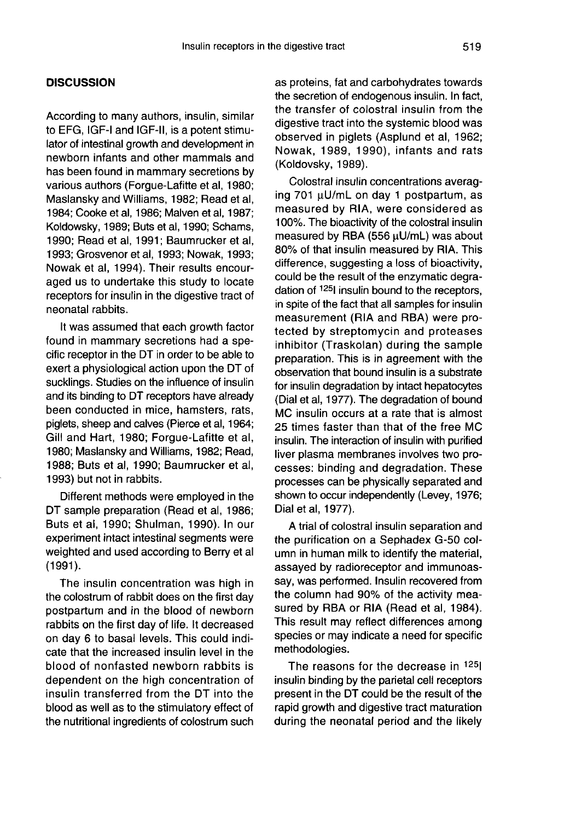#### **DISCUSSION**

According to many authors, insulin, similar to EFG, IGF-I and IGF-II, is a potent stimulator of intestinal growth and development in newborn infants and other mammals and has been found in mammary secretions by various authors (Forgue-Lafitte et al, 1980; Maslansky and Williams, 1982; Read et al, 1984; Cooke et al, 1986; Malven et al, 1987; Koldowsky, 1989; Buts et al, 1990; Schams, 1990; Read et al, 1991; Baumrucker et al, 1993; Grosvenor et al, 1993; Nowak, 1993; Nowak et al, 1994). Their results encouraged us to undertake this study to locate receptors for insulin in the digestive tract of neonatal rabbits.

It was assumed that each growth factor found in mammary secretions had a specific receptor in the DT in order to be able to exert a physiological action upon the DT of sucklings. Studies on the influence of insulin and its binding to DT receptors have already been conducted in mice, hamsters, rats, piglets, sheep and calves (Pierce et al, 1964; Gill and Hart, 1980; Forgue-Lafitte et al. 1980; Maslansky and Williams, 1982; Read, 1988; Buts et al, 1990; Baumrucker et al, 1993) but not in rabbits.

Different methods were employed in the DT sample preparation (Read et al, 1986; Buts et al, 1990; Shulman, 1990). In our experiment intact intestinal segments were weighted and used according to Berry et al  $(1991).$ 

The insulin concentration was high in the colostrum of rabbit does on the first day postpartum and in the blood of newborn rabbits on the first day of life. It decreased on day 6 to basal levels. This could indicate that the increased insulin level in the blood of nonfasted newborn rabbits is dependent on the high concentration of insulin transferred from the DT into the blood as well as to the stimulatory effect of the nutritional ingredients of colostrum such as proteins, fat and carbohydrates towards the secretion of endogenous insulin. In fact, the transfer of colostral insulin from the digestive tract into the systemic blood was observed in piglets (Asplund et al, 1962; Nowak, 1989, 1990), infants and rats (Koldovsky, 1989).

Colostral insulin concentrations averaging 701  $\mu$ U/mL on day 1 postpartum, as measured by RIA, were considered as 100%. The bioactivity of the colostral insulin measured by RBA (556 µU/mL) was about 80% of that insulin measured by RIA. This difference, suggesting a loss of bioactivity, could be the result of the enzymatic degradation of <sup>125</sup>l insulin bound to the receptors, in spite of the fact that all samples for insulin measurement (RIA and RBA) were protected by streptomycin and proteases inhibitor (Traskolan) during the sample preparation. This is in agreement with the observation that bound insulin is a substrate for insulin degradation by intact hepatocytes (Dial et al, 1977). The degradation of bound MC insulin occurs at a rate that is almost 25 times faster than that of the free MC insulin. The interaction of insulin with purified liver plasma membranes involves two processes: binding and degradation. These processes can be physically separated and shown to occur independently (Levey, 1976; Dial et al, 1977).

A trial of colostral insulin separation and the purification on a Sephadex G-50 column in human milk to identify the material, assayed by radioreceptor and immunoassay, was performed. Insulin recovered from the column had 90% of the activity measured by RBA or RIA (Read et al, 1984). This result may reflect differences among species or may indicate a need for specific methodologies.

The reasons for the decrease in <sup>125</sup> insulin binding by the parietal cell receptors present in the DT could be the result of the rapid growth and digestive tract maturation during the neonatal period and the likely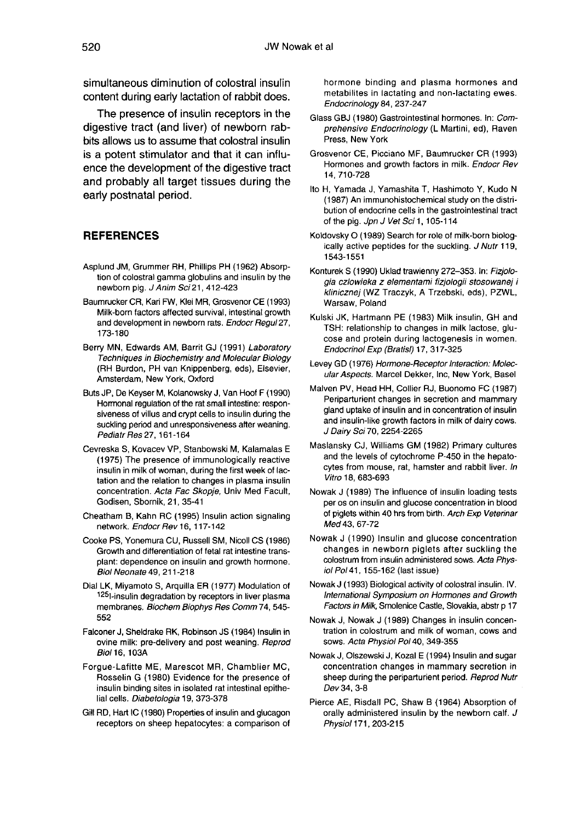simultaneous diminution of colostral insulin content during early lactation of rabbit does.

The presence of insulin receptors in the digestive tract (and liver) of newborn rabbits allows us to assume that colostral insulin is a potent stimulator and that it can influence the development of the digestive tract and probably all target tissues during the early postnatal period.

#### REFERENCES

- Asplund JM, Grummer RH, Phillips PH (1962) Absorp tion of colostral gamma globulins and insulin by the newborn pig. J Anim Sci 21, 412-423
- Baumrucker CR, Kari FW, Klei MR, Grosvenor CE (1993) Milk-born factors affected survival, intestinal growth and development in newborn rats. Endocr Regul27, 173-180
- Berry MN, Edwards AM, Barrit GJ (1991) Laboratory Techniques in Biochemistry and Molecular Biology (RH Burdon, PH van Knippenberg, eds), Elsevier, Amsterdam, New York, Oxford
- Buts JP, De Keyser M, Kolanowsky J, Van Hoof F (1990) Hormonal regulation of the rat small intestine: responsiveness of villus and crypt cells to insulin during the suckling period and unresponsiveness after weaning. Pediatr Res 27, 161-164
- Cevreska S, Kovacev VP, Stanbowski M, Kalamalas E (1975) The presence of immunologically reactive insulin in milk of woman, during the first week of lactation and the relation to changes in plasma insulin concentration. Acta Fac Skopje, Univ Med Facult, Godisen, Sbornik, 21, 35-41
- Cheatham B, Kahn RC (1995) Insulin action signaling network. Endocr Rev 16, 117-142
- Cooke PS, Yonemura CU, Russell SM, Nicoll CS (1986) Growth and differentiation of fetal rat intestine transplant: dependence on insulin and growth hormone. Biol Neonate 49, 211-218
- Dial LK, Miyamoto S, Arquilla ER (1977) Modulation of 1251-insulin degradation by receptors in liver plasma membranes. Biochem Biophys Res Comm74, 545- 552
- Falconer J, Sheldrake RK, Robinson JS (1984) Insulin in ovine milk: pre-delivery and post weaning. Reprod Biol 16, 103A
- Forgue-Lafitte ME, Marescot MR, Chamblier MC, Rosselin G (1980) Evidence for the presence of insulin binding sites in isolated rat intestinal epithe lial cells. Diabetologia 19, 373-378
- Gill RD, Hart IC (1980) Properties of insulin and glucagon receptors on sheep hepatocytes: a comparison of

hormone binding and plasma hormones and metabilites in lactating and non-lactating ewes. Endocrinology 84, 237-247

- Glass GBJ (1980) Gastrointestinal hormones. In: Comprehensive Endocrinology (L Martini, ed), Raven Press, New York
- Grosvenor CE, Picciano MF, Baumrucker CR (1993) Hormones and growth factors in milk. Endocr Rev 14, 710-728
- Ito H, Yamada J, Yamashita T, Hashimoto Y, Kudo N (1987) An immunohistochemical study on the distribution of endocrine cells in the gastrointestinal tract of the pig. Jpn J Vet Sci 1, 105-114
- Koldovsky O (1989) Search for role of milk-born biologically active peptides for the suckling. J Nutr 119, 1543-1551
- Konturek S (1990) Uklad trawienny 272-353. In: Fizjologia czlowieka z elementami fizjologii stosowanej i klinicznej (WZ Traczyk, A Trzebski, eds), PZWL, Warsaw, Poland
- Kulski JK, Hartmann PE (1983) Milk insulin, GH and TSH: relationship to changes in milk lactose, glu cose and protein during lactogenesis in women. Endocrinol Exp (Bratisl) 17, 317-325
- Levey GD (1976) Hormone-Receptor Interaction: Molecular Aspects. Marcel Dekker, Inc, New York, Basel
- Malven PV, Head HH, Collier RJ, Buonomo FC (1987) Periparturient changes in secretion and mammary gland uptake of insulin and in concentration of insulin and insulin-like growth factors in milk of dairy cows. J Dairy Sci 70, 2254-2265
- Maslansky CJ, Williams GM (1982) Primary cultures and the levels of cytochrome P-450 in the hepatocytes from mouse, rat, hamster and rabbit liver. In Vitro 18, 683-693
- Nowak J (1989) The influence of insulin loading tests per os on insulin and glucose concentration in blood of piglets within 40 hrs from birth. Arch Exp Veterinar Med 43, 67-72
- Nowak J (1990) Insulin and glucose concentration changes in newborn piglets after suckling the colostrum from insulin administered sows. Acta Physiol Po141, 155-162 (last issue)
- Nowak J (1993) Biological activity of colostral insulin. IV. International Symposium on Hormones and Growth Factors in Milk, Smolenice Castle, Slovakia, abstr p 17
- Nowak J, Nowak J (1989) Changes in insulin concentration in colostrum and milk of woman, cows and sows. Acta Physiol Po140, 349-355
- Nowak J, Olszewski J, Kozal E (1994) Insulin and sugar concentration changes in mammary secretion in sheep during the periparturient period. Reprod Nutr Dev 34, 3-8
- Pierce AE, Risdall PC, Shaw B (1964) Absorption of orally administered insulin by the newborn calf. J Physiol 171, 203-215